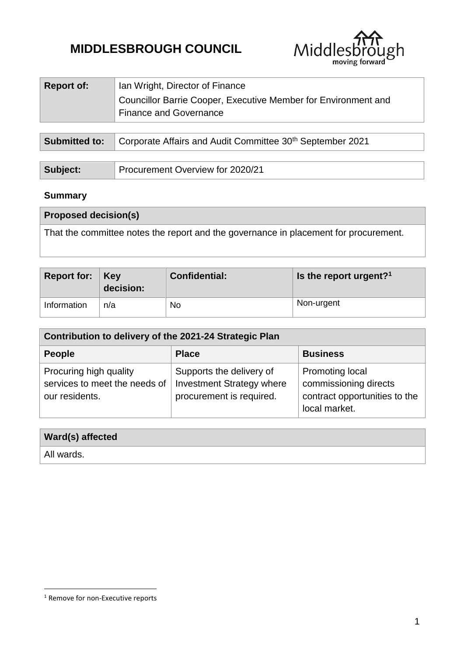# **MIDDLESBROUGH COUNCIL**



| <b>Report of:</b> | Ian Wright, Director of Finance                                                                       |
|-------------------|-------------------------------------------------------------------------------------------------------|
|                   | Councillor Barrie Cooper, Executive Member for Environment and<br><sup>1</sup> Finance and Governance |
|                   |                                                                                                       |

| <b>Submitted to:</b> Corporate Affairs and Audit Committee 30 <sup>th</sup> September 2021 |  |
|--------------------------------------------------------------------------------------------|--|
|--------------------------------------------------------------------------------------------|--|

| Subject: | Procurement Overview for 2020/21 |
|----------|----------------------------------|
|----------|----------------------------------|

# **Summary**

| <b>Proposed decision(s)</b>                                                          |
|--------------------------------------------------------------------------------------|
| That the committee notes the report and the governance in placement for procurement. |
|                                                                                      |

| Report for: $Key$ | decision: | <b>Confidential:</b> | Is the report urgent? <sup>1</sup> |
|-------------------|-----------|----------------------|------------------------------------|
| Information       | n/a       | No                   | Non-urgent                         |

| Contribution to delivery of the 2021-24 Strategic Plan                    |                                                                                          |                                                                                                   |  |  |
|---------------------------------------------------------------------------|------------------------------------------------------------------------------------------|---------------------------------------------------------------------------------------------------|--|--|
| <b>People</b>                                                             | <b>Place</b>                                                                             | <b>Business</b>                                                                                   |  |  |
| Procuring high quality<br>services to meet the needs of<br>our residents. | Supports the delivery of<br><b>Investment Strategy where</b><br>procurement is required. | <b>Promoting local</b><br>commissioning directs<br>contract opportunities to the<br>local market. |  |  |

# **Ward(s) affected**

All wards.

1

<sup>&</sup>lt;sup>1</sup> Remove for non-Executive reports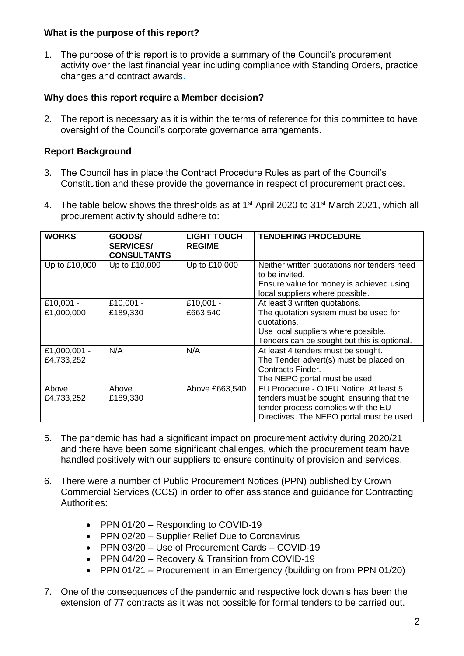#### **What is the purpose of this report?**

1. The purpose of this report is to provide a summary of the Council's procurement activity over the last financial year including compliance with Standing Orders, practice changes and contract awards.

#### **Why does this report require a Member decision?**

2. The report is necessary as it is within the terms of reference for this committee to have oversight of the Council's corporate governance arrangements.

# **Report Background**

- 3. The Council has in place the Contract Procedure Rules as part of the Council's Constitution and these provide the governance in respect of procurement practices.
- 4. The table below shows the thresholds as at 1<sup>st</sup> April 2020 to 31<sup>st</sup> March 2021, which all procurement activity should adhere to:

| <b>WORKS</b>               | GOODS/<br><b>SERVICES/</b><br><b>CONSULTANTS</b> | <b>LIGHT TOUCH</b><br><b>REGIME</b> | <b>TENDERING PROCEDURE</b>                                                                                                                                                   |
|----------------------------|--------------------------------------------------|-------------------------------------|------------------------------------------------------------------------------------------------------------------------------------------------------------------------------|
| Up to £10,000              | Up to £10,000                                    | Up to £10,000                       | Neither written quotations nor tenders need<br>to be invited.<br>Ensure value for money is achieved using<br>local suppliers where possible.                                 |
| £10,001 -<br>£1,000,000    | £10,001 -<br>£189,330                            | £10,001 -<br>£663,540               | At least 3 written quotations.<br>The quotation system must be used for<br>quotations.<br>Use local suppliers where possible.<br>Tenders can be sought but this is optional. |
| £1,000,001 -<br>£4,733,252 | N/A                                              | N/A                                 | At least 4 tenders must be sought.<br>The Tender advert(s) must be placed on<br>Contracts Finder.<br>The NEPO portal must be used.                                           |
| Above<br>£4,733,252        | Above<br>£189,330                                | Above £663,540                      | EU Procedure - OJEU Notice. At least 5<br>tenders must be sought, ensuring that the<br>tender process complies with the EU<br>Directives. The NEPO portal must be used.      |

- 5. The pandemic has had a significant impact on procurement activity during 2020/21 and there have been some significant challenges, which the procurement team have handled positively with our suppliers to ensure continuity of provision and services.
- 6. There were a number of Public Procurement Notices (PPN) published by Crown Commercial Services (CCS) in order to offer assistance and guidance for Contracting Authorities:
	- PPN 01/20 Responding to COVID-19
	- PPN 02/20 Supplier Relief Due to Coronavirus
	- PPN 03/20 Use of Procurement Cards COVID-19
	- PPN 04/20 Recovery & Transition from COVID-19
	- PPN 01/21 Procurement in an Emergency (building on from PPN 01/20)
- 7. One of the consequences of the pandemic and respective lock down's has been the extension of 77 contracts as it was not possible for formal tenders to be carried out.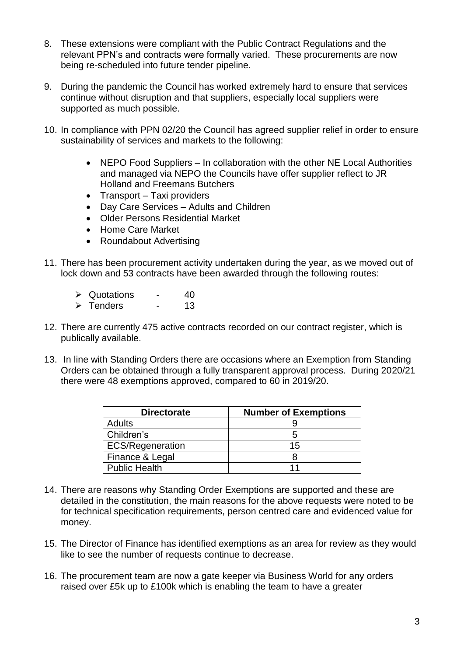- 8. These extensions were compliant with the Public Contract Regulations and the relevant PPN's and contracts were formally varied. These procurements are now being re-scheduled into future tender pipeline.
- 9. During the pandemic the Council has worked extremely hard to ensure that services continue without disruption and that suppliers, especially local suppliers were supported as much possible.
- 10. In compliance with PPN 02/20 the Council has agreed supplier relief in order to ensure sustainability of services and markets to the following:
	- NEPO Food Suppliers In collaboration with the other NE Local Authorities and managed via NEPO the Councils have offer supplier reflect to JR Holland and Freemans Butchers
	- Transport Taxi providers
	- Day Care Services Adults and Children
	- Older Persons Residential Market
	- Home Care Market
	- Roundabout Advertising
- 11. There has been procurement activity undertaken during the year, as we moved out of lock down and 53 contracts have been awarded through the following routes:
	- $\geq$  Quotations 40 > Tenders - 13
- 12. There are currently 475 active contracts recorded on our contract register, which is publically available.
- 13. In line with Standing Orders there are occasions where an Exemption from Standing Orders can be obtained through a fully transparent approval process. During 2020/21 there were 48 exemptions approved, compared to 60 in 2019/20.

| <b>Directorate</b>      | <b>Number of Exemptions</b> |  |
|-------------------------|-----------------------------|--|
| <b>Adults</b>           |                             |  |
| Children's              |                             |  |
| <b>ECS/Regeneration</b> | 15                          |  |
| Finance & Legal         |                             |  |
| <b>Public Health</b>    |                             |  |

- 14. There are reasons why Standing Order Exemptions are supported and these are detailed in the constitution, the main reasons for the above requests were noted to be for technical specification requirements, person centred care and evidenced value for money.
- 15. The Director of Finance has identified exemptions as an area for review as they would like to see the number of requests continue to decrease.
- 16. The procurement team are now a gate keeper via Business World for any orders raised over £5k up to £100k which is enabling the team to have a greater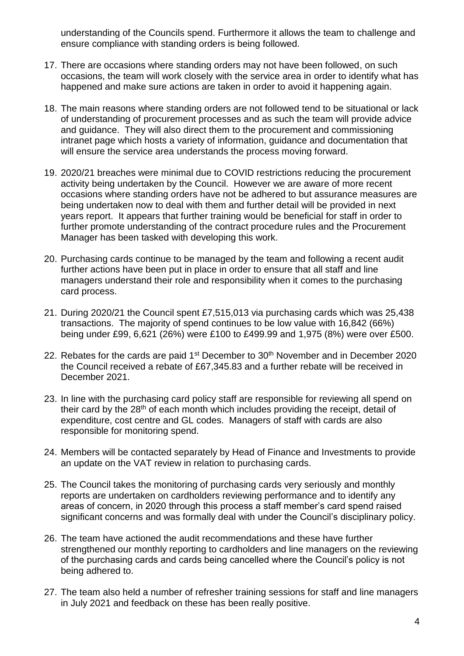understanding of the Councils spend. Furthermore it allows the team to challenge and ensure compliance with standing orders is being followed.

- 17. There are occasions where standing orders may not have been followed, on such occasions, the team will work closely with the service area in order to identify what has happened and make sure actions are taken in order to avoid it happening again.
- 18. The main reasons where standing orders are not followed tend to be situational or lack of understanding of procurement processes and as such the team will provide advice and guidance. They will also direct them to the procurement and commissioning intranet page which hosts a variety of information, guidance and documentation that will ensure the service area understands the process moving forward.
- 19. 2020/21 breaches were minimal due to COVID restrictions reducing the procurement activity being undertaken by the Council. However we are aware of more recent occasions where standing orders have not be adhered to but assurance measures are being undertaken now to deal with them and further detail will be provided in next years report. It appears that further training would be beneficial for staff in order to further promote understanding of the contract procedure rules and the Procurement Manager has been tasked with developing this work.
- 20. Purchasing cards continue to be managed by the team and following a recent audit further actions have been put in place in order to ensure that all staff and line managers understand their role and responsibility when it comes to the purchasing card process.
- 21. During 2020/21 the Council spent £7,515,013 via purchasing cards which was 25,438 transactions. The majority of spend continues to be low value with 16,842 (66%) being under £99, 6,621 (26%) were £100 to £499.99 and 1,975 (8%) were over £500.
- 22. Rebates for the cards are paid  $1<sup>st</sup>$  December to  $30<sup>th</sup>$  November and in December 2020 the Council received a rebate of £67,345.83 and a further rebate will be received in December 2021.
- 23. In line with the purchasing card policy staff are responsible for reviewing all spend on their card by the 28<sup>th</sup> of each month which includes providing the receipt, detail of expenditure, cost centre and GL codes. Managers of staff with cards are also responsible for monitoring spend.
- 24. Members will be contacted separately by Head of Finance and Investments to provide an update on the VAT review in relation to purchasing cards.
- 25. The Council takes the monitoring of purchasing cards very seriously and monthly reports are undertaken on cardholders reviewing performance and to identify any areas of concern, in 2020 through this process a staff member's card spend raised significant concerns and was formally deal with under the Council's disciplinary policy.
- 26. The team have actioned the audit recommendations and these have further strengthened our monthly reporting to cardholders and line managers on the reviewing of the purchasing cards and cards being cancelled where the Council's policy is not being adhered to.
- 27. The team also held a number of refresher training sessions for staff and line managers in July 2021 and feedback on these has been really positive.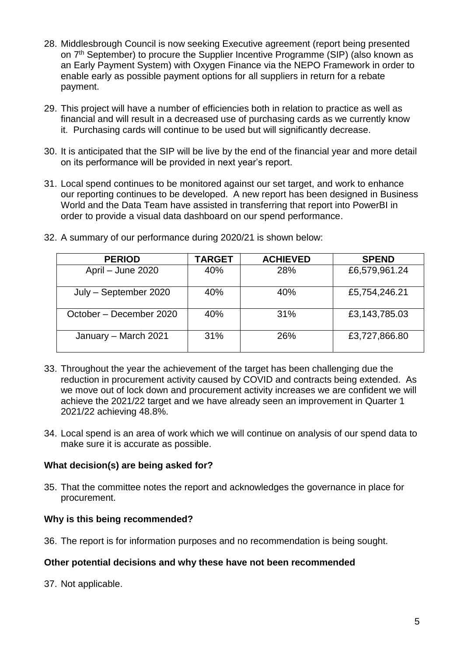- 28. Middlesbrough Council is now seeking Executive agreement (report being presented on 7<sup>th</sup> September) to procure the Supplier Incentive Programme (SIP) (also known as an Early Payment System) with Oxygen Finance via the NEPO Framework in order to enable early as possible payment options for all suppliers in return for a rebate payment.
- 29. This project will have a number of efficiencies both in relation to practice as well as financial and will result in a decreased use of purchasing cards as we currently know it. Purchasing cards will continue to be used but will significantly decrease.
- 30. It is anticipated that the SIP will be live by the end of the financial year and more detail on its performance will be provided in next year's report.
- 31. Local spend continues to be monitored against our set target, and work to enhance our reporting continues to be developed. A new report has been designed in Business World and the Data Team have assisted in transferring that report into PowerBI in order to provide a visual data dashboard on our spend performance.

| <b>PERIOD</b>           | <b>TARGET</b> | <b>ACHIEVED</b> | <b>SPEND</b>  |
|-------------------------|---------------|-----------------|---------------|
| April – June 2020       | 40%           | 28%             | £6,579,961.24 |
| July - September 2020   | 40%           | 40%             | £5,754,246.21 |
| October – December 2020 | 40%           | 31%             | £3,143,785.03 |
| January - March 2021    | 31%           | <b>26%</b>      | £3,727,866.80 |

32. A summary of our performance during 2020/21 is shown below:

- 33. Throughout the year the achievement of the target has been challenging due the reduction in procurement activity caused by COVID and contracts being extended. As we move out of lock down and procurement activity increases we are confident we will achieve the 2021/22 target and we have already seen an improvement in Quarter 1 2021/22 achieving 48.8%.
- 34. Local spend is an area of work which we will continue on analysis of our spend data to make sure it is accurate as possible.

#### **What decision(s) are being asked for?**

35. That the committee notes the report and acknowledges the governance in place for procurement.

#### **Why is this being recommended?**

36. The report is for information purposes and no recommendation is being sought.

#### **Other potential decisions and why these have not been recommended**

37. Not applicable.